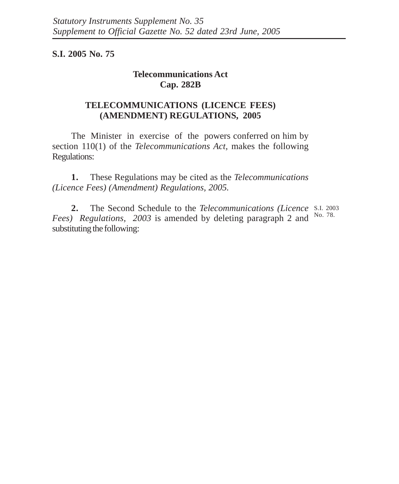**S.I. 2005 No. 75**

## **Telecommunications Act Cap. 282B**

## **TELECOMMUNICATIONS (LICENCE FEES) (AMENDMENT) REGULATIONS, 2005**

The Minister in exercise of the powers conferred on him by section 110(1) of the *Telecommunications Act,* makes the following Regulations:

**1.** These Regulations may be cited as the *Telecommunications (Licence Fees) (Amendment) Regulations, 2005.*

**2.** The Second Schedule to the *Telecommunications (Licence* S.I. 2003 Fees) Regulations, 2003 is amended by deleting paragraph 2 and <sup>No. 78.</sup> substituting the following: